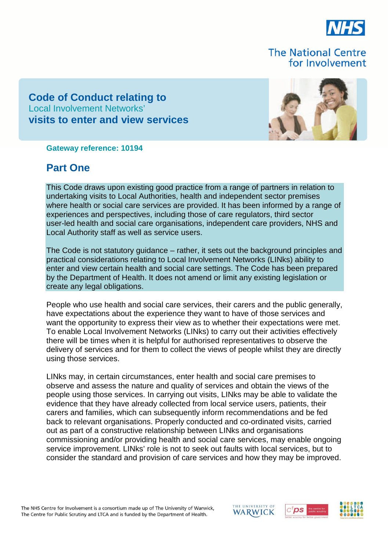

# **The National Centre** for Involvement

# **Code of Conduct relating to** Local Involvement Networks' **visits to enter and view services**



**Gateway reference: 10194**

# **Part One**

This Code draws upon existing good practice from a range of partners in relation to undertaking visits to Local Authorities, health and independent sector premises where health or social care services are provided. It has been informed by a range of experiences and perspectives, including those of care regulators, third sector user-led health and social care organisations, independent care providers, NHS and Local Authority staff as well as service users.

The Code is not statutory guidance – rather, it sets out the background principles and practical considerations relating to Local Involvement Networks (LINks) ability to enter and view certain health and social care settings. The Code has been prepared by the Department of Health. It does not amend or limit any existing legislation or create any legal obligations.

People who use health and social care services, their carers and the public generally, have expectations about the experience they want to have of those services and want the opportunity to express their view as to whether their expectations were met. To enable Local Involvement Networks (LINks) to carry out their activities effectively there will be times when it is helpful for authorised representatives to observe the delivery of services and for them to collect the views of people whilst they are directly using those services.

LINks may, in certain circumstances, enter health and social care premises to observe and assess the nature and quality of services and obtain the views of the people using those services. In carrying out visits, LINks may be able to validate the evidence that they have already collected from local service users, patients, their carers and families, which can subsequently inform recommendations and be fed back to relevant organisations. Properly conducted and co-ordinated visits, carried out as part of a constructive relationship between LINks and organisations commissioning and/or providing health and social care services, may enable ongoing service improvement. LINks' role is not to seek out faults with local services, but to consider the standard and provision of care services and how they may be improved.

The NHS Centre for Involvement is a consortium made up of The University of Warwick, The Centre for Public Scrutiny and LTCA and is funded by the Department of Health.





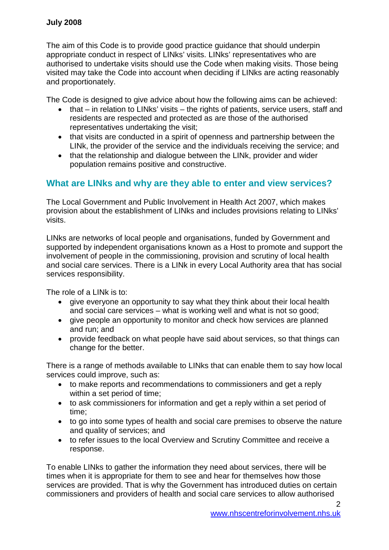The aim of this Code is to provide good practice guidance that should underpin appropriate conduct in respect of LINks' visits. LINks' representatives who are authorised to undertake visits should use the Code when making visits. Those being visited may take the Code into account when deciding if LINks are acting reasonably and proportionately.

The Code is designed to give advice about how the following aims can be achieved:

- $\bullet$  that in relation to LINks' visits the rights of patients, service users, staff and residents are respected and protected as are those of the authorised representatives undertaking the visit;
- that visits are conducted in a spirit of openness and partnership between the LINk, the provider of the service and the individuals receiving the service; and
- that the relationship and dialogue between the LINk, provider and wider population remains positive and constructive.

## **What are LINks and why are they able to enter and view services?**

The Local Government and Public Involvement in Health Act 2007, which makes provision about the establishment of LINks and includes provisions relating to LINks' visits.

LINks are networks of local people and organisations, funded by Government and supported by independent organisations known as a Host to promote and support the involvement of people in the commissioning, provision and scrutiny of local health and social care services. There is a LINk in every Local Authority area that has social services responsibility.

The role of a LINk is to:

- give everyone an opportunity to say what they think about their local health and social care services – what is working well and what is not so good;
- give people an opportunity to monitor and check how services are planned and run; and
- provide feedback on what people have said about services, so that things can change for the better.

There is a range of methods available to LINks that can enable them to say how local services could improve, such as:

- to make reports and recommendations to commissioners and get a reply within a set period of time;
- to ask commissioners for information and get a reply within a set period of time;
- to go into some types of health and social care premises to observe the nature and quality of services; and
- to refer issues to the local Overview and Scrutiny Committee and receive a response.

To enable LINks to gather the information they need about services, there will be times when it is appropriate for them to see and hear for themselves how those services are provided. That is why the Government has introduced duties on certain commissioners and providers of health and social care services to allow authorised

 $\mathcal{P}$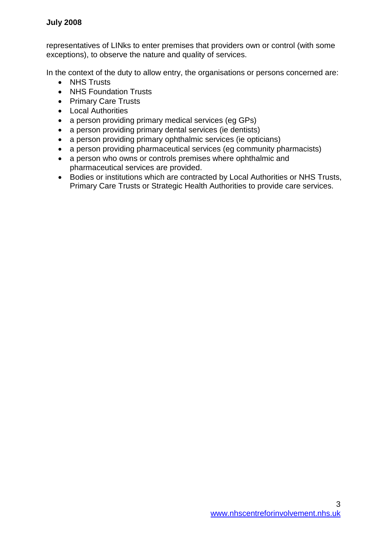representatives of LINks to enter premises that providers own or control (with some exceptions), to observe the nature and quality of services.

In the context of the duty to allow entry, the organisations or persons concerned are:

- NHS Trusts
- NHS Foundation Trusts
- Primary Care Trusts
- Local Authorities
- a person providing primary medical services (eg GPs)
- a person providing primary dental services (ie dentists)
- a person providing primary ophthalmic services (ie opticians)
- a person providing pharmaceutical services (eg community pharmacists)
- a person who owns or controls premises where ophthalmic and pharmaceutical services are provided.
- Bodies or institutions which are contracted by Local Authorities or NHS Trusts, Primary Care Trusts or Strategic Health Authorities to provide care services.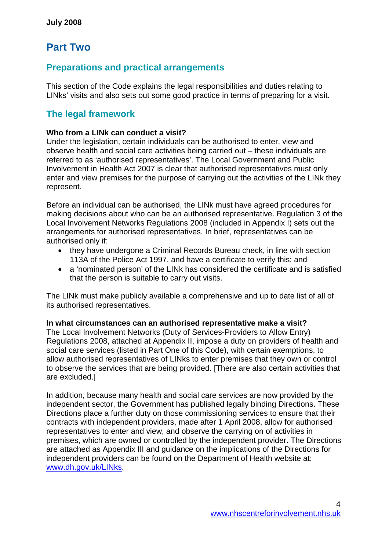# **Part Two**

# **Preparations and practical arrangements**

This section of the Code explains the legal responsibilities and duties relating to LINks' visits and also sets out some good practice in terms of preparing for a visit.

# **The legal framework**

### **Who from a LINk can conduct a visit?**

Under the legislation, certain individuals can be authorised to enter, view and observe health and social care activities being carried out – these individuals are referred to as 'authorised representatives'. The Local Government and Public Involvement in Health Act 2007 is clear that authorised representatives must only enter and view premises for the purpose of carrying out the activities of the LINk they represent.

Before an individual can be authorised, the LINk must have agreed procedures for making decisions about who can be an authorised representative. Regulation 3 of the Local Involvement Networks Regulations 2008 (included in Appendix I) sets out the arrangements for authorised representatives. In brief, representatives can be authorised only if:

- they have undergone a Criminal Records Bureau check, in line with section 113A of the Police Act 1997, and have a certificate to verify this; and
- a 'nominated person' of the LINk has considered the certificate and is satisfied that the person is suitable to carry out visits.

The LINk must make publicly available a comprehensive and up to date list of all of its authorised representatives.

#### **In what circumstances can an authorised representative make a visit?**

The Local Involvement Networks (Duty of Services-Providers to Allow Entry) Regulations 2008, attached at Appendix II, impose a duty on providers of health and social care services (listed in Part One of this Code), with certain exemptions, to allow authorised representatives of LINks to enter premises that they own or control to observe the services that are being provided. [There are also certain activities that are excluded.]

In addition, because many health and social care services are now provided by the independent sector, the Government has published legally binding Directions. These Directions place a further duty on those commissioning services to ensure that their contracts with independent providers, made after 1 April 2008, allow for authorised representatives to enter and view, and observe the carrying on of activities in premises, which are owned or controlled by the independent provider. The Directions are attached as Appendix III and guidance on the implications of the Directions for independent providers can be found on the Department of Health website at: www.dh.gov.uk/LINks.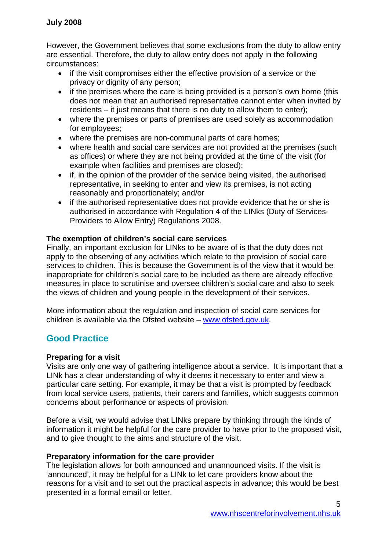However, the Government believes that some exclusions from the duty to allow entry are essential. Therefore, the duty to allow entry does not apply in the following circumstances:

- if the visit compromises either the effective provision of a service or the privacy or dignity of any person;
- if the premises where the care is being provided is a person's own home (this does not mean that an authorised representative cannot enter when invited by residents – it just means that there is no duty to allow them to enter);
- where the premises or parts of premises are used solely as accommodation for employees;
- where the premises are non-communal parts of care homes;
- where health and social care services are not provided at the premises (such as offices) or where they are not being provided at the time of the visit (for example when facilities and premises are closed);
- if, in the opinion of the provider of the service being visited, the authorised representative, in seeking to enter and view its premises, is not acting reasonably and proportionately; and/or
- if the authorised representative does not provide evidence that he or she is authorised in accordance with Regulation 4 of the LINks (Duty of Services-Providers to Allow Entry) Regulations 2008.

### **The exemption of children's social care services**

Finally, an important exclusion for LINks to be aware of is that the duty does not apply to the observing of any activities which relate to the provision of social care services to children. This is because the Government is of the view that it would be inappropriate for children's social care to be included as there are already effective measures in place to scrutinise and oversee children's social care and also to seek the views of children and young people in the development of their services.

More information about the regulation and inspection of social care services for children is available via the Ofsted website – www.ofsted.gov.uk.

## **Good Practice**

### **Preparing for a visit**

Visits are only one way of gathering intelligence about a service. It is important that a LINk has a clear understanding of why it deems it necessary to enter and view a particular care setting. For example, it may be that a visit is prompted by feedback from local service users, patients, their carers and families, which suggests common concerns about performance or aspects of provision.

Before a visit, we would advise that LINks prepare by thinking through the kinds of information it might be helpful for the care provider to have prior to the proposed visit, and to give thought to the aims and structure of the visit.

### **Preparatory information for the care provider**

The legislation allows for both announced and unannounced visits. If the visit is 'announced', it may be helpful for a LINk to let care providers know about the reasons for a visit and to set out the practical aspects in advance; this would be best presented in a formal email or letter.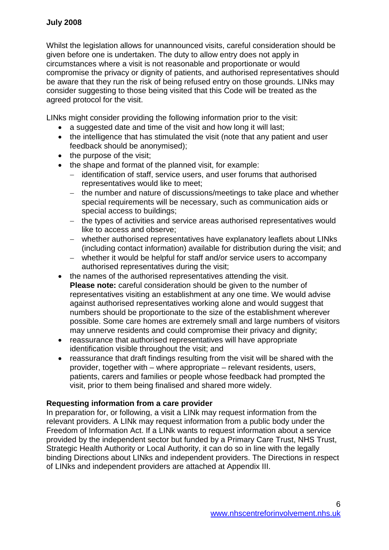Whilst the legislation allows for unannounced visits, careful consideration should be given before one is undertaken. The duty to allow entry does not apply in circumstances where a visit is not reasonable and proportionate or would compromise the privacy or dignity of patients, and authorised representatives should be aware that they run the risk of being refused entry on those grounds. LINks may consider suggesting to those being visited that this Code will be treated as the agreed protocol for the visit.

LINks might consider providing the following information prior to the visit:

- a suggested date and time of the visit and how long it will last;
- the intelligence that has stimulated the visit (note that any patient and user feedback should be anonymised);
- $\bullet$  the purpose of the visit;
- the shape and format of the planned visit, for example:
	- identification of staff, service users, and user forums that authorised representatives would like to meet;
	- the number and nature of discussions/meetings to take place and whether special requirements will be necessary, such as communication aids or special access to buildings;
	- the types of activities and service areas authorised representatives would like to access and observe;
	- whether authorised representatives have explanatory leaflets about LINks (including contact information) available for distribution during the visit; and
	- whether it would be helpful for staff and/or service users to accompany authorised representatives during the visit;
- the names of the authorised representatives attending the visit. **Please note:** careful consideration should be given to the number of representatives visiting an establishment at any one time. We would advise against authorised representatives working alone and would suggest that numbers should be proportionate to the size of the establishment wherever possible. Some care homes are extremely small and large numbers of visitors may unnerve residents and could compromise their privacy and dignity;
- reassurance that authorised representatives will have appropriate identification visible throughout the visit; and
- reassurance that draft findings resulting from the visit will be shared with the provider, together with – where appropriate – relevant residents, users, patients, carers and families or people whose feedback had prompted the visit, prior to them being finalised and shared more widely.

### **Requesting information from a care provider**

In preparation for, or following, a visit a LINk may request information from the relevant providers. A LINk may request information from a public body under the Freedom of Information Act. If a LINk wants to request information about a service provided by the independent sector but funded by a Primary Care Trust, NHS Trust, Strategic Health Authority or Local Authority, it can do so in line with the legally binding Directions about LINks and independent providers. The Directions in respect of LINks and independent providers are attached at Appendix III.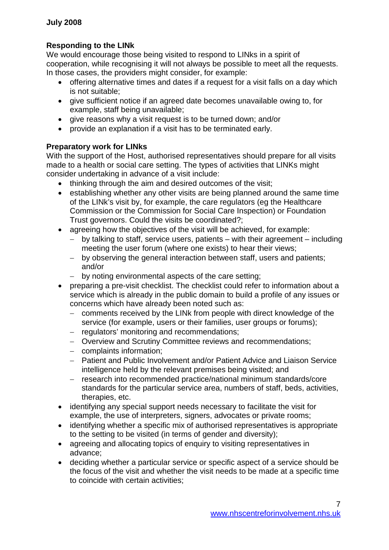### **Responding to the LINk**

We would encourage those being visited to respond to LINks in a spirit of cooperation, while recognising it will not always be possible to meet all the requests. In those cases, the providers might consider, for example:

- offering alternative times and dates if a request for a visit falls on a day which is not suitable;
- give sufficient notice if an agreed date becomes unavailable owing to, for example, staff being unavailable;
- give reasons why a visit request is to be turned down; and/or
- provide an explanation if a visit has to be terminated early.

### **Preparatory work for LINks**

With the support of the Host, authorised representatives should prepare for all visits made to a health or social care setting. The types of activities that LINKs might consider undertaking in advance of a visit include:

- thinking through the aim and desired outcomes of the visit;
- establishing whether any other visits are being planned around the same time of the LINk's visit by, for example, the care regulators (eg the Healthcare Commission or the Commission for Social Care Inspection) or Foundation Trust governors. Could the visits be coordinated?;
- agreeing how the objectives of the visit will be achieved, for example:
	- $-$  by talking to staff, service users, patients with their agreement including meeting the user forum (where one exists) to hear their views;
	- by observing the general interaction between staff, users and patients; and/or
	- by noting environmental aspects of the care setting;
- preparing a pre-visit checklist. The checklist could refer to information about a service which is already in the public domain to build a profile of any issues or concerns which have already been noted such as:
	- comments received by the LINk from people with direct knowledge of the service (for example, users or their families, user groups or forums);
	- regulators' monitoring and recommendations;
	- Overview and Scrutiny Committee reviews and recommendations;
	- complaints information:
	- Patient and Public Involvement and/or Patient Advice and Liaison Service intelligence held by the relevant premises being visited; and
	- research into recommended practice/national minimum standards/core standards for the particular service area, numbers of staff, beds, activities, therapies, etc.
- identifying any special support needs necessary to facilitate the visit for example, the use of interpreters, signers, advocates or private rooms;
- identifying whether a specific mix of authorised representatives is appropriate to the setting to be visited (in terms of gender and diversity);
- agreeing and allocating topics of enquiry to visiting representatives in advance;
- deciding whether a particular service or specific aspect of a service should be the focus of the visit and whether the visit needs to be made at a specific time to coincide with certain activities;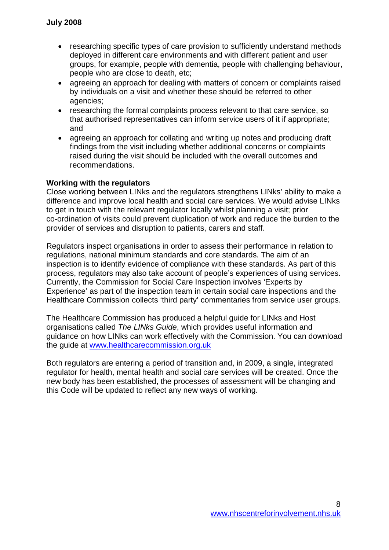- researching specific types of care provision to sufficiently understand methods deployed in different care environments and with different patient and user groups, for example, people with dementia, people with challenging behaviour, people who are close to death, etc;
- agreeing an approach for dealing with matters of concern or complaints raised by individuals on a visit and whether these should be referred to other agencies;
- researching the formal complaints process relevant to that care service, so that authorised representatives can inform service users of it if appropriate; and
- agreeing an approach for collating and writing up notes and producing draft findings from the visit including whether additional concerns or complaints raised during the visit should be included with the overall outcomes and recommendations.

#### **Working with the regulators**

Close working between LINks and the regulators strengthens LINks' ability to make a difference and improve local health and social care services. We would advise LINks to get in touch with the relevant regulator locally whilst planning a visit; prior co-ordination of visits could prevent duplication of work and reduce the burden to the provider of services and disruption to patients, carers and staff.

Regulators inspect organisations in order to assess their performance in relation to regulations, national minimum standards and core standards. The aim of an inspection is to identify evidence of compliance with these standards. As part of this process, regulators may also take account of people's experiences of using services. Currently, the Commission for Social Care Inspection involves 'Experts by Experience' as part of the inspection team in certain social care inspections and the Healthcare Commission collects 'third party' commentaries from service user groups.

The Healthcare Commission has produced a helpful guide for LINks and Host organisations called *The LINks Guide*, which provides useful information and guidance on how LINks can work effectively with the Commission. You can download the guide at www.healthcarecommission.org.uk

Both regulators are entering a period of transition and, in 2009, a single, integrated regulator for health, mental health and social care services will be created. Once the new body has been established, the processes of assessment will be changing and this Code will be updated to reflect any new ways of working.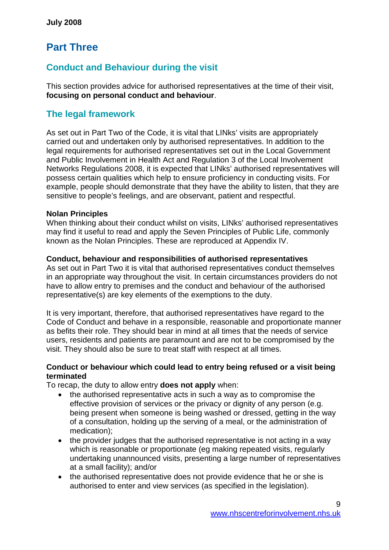# **Part Three**

# **Conduct and Behaviour during the visit**

This section provides advice for authorised representatives at the time of their visit, **focusing on personal conduct and behaviour**.

# **The legal framework**

As set out in Part Two of the Code, it is vital that LINks' visits are appropriately carried out and undertaken only by authorised representatives. In addition to the legal requirements for authorised representatives set out in the Local Government and Public Involvement in Health Act and Regulation 3 of the Local Involvement Networks Regulations 2008, it is expected that LINks' authorised representatives will possess certain qualities which help to ensure proficiency in conducting visits. For example, people should demonstrate that they have the ability to listen, that they are sensitive to people's feelings, and are observant, patient and respectful.

### **Nolan Principles**

When thinking about their conduct whilst on visits, LINks' authorised representatives may find it useful to read and apply the Seven Principles of Public Life, commonly known as the Nolan Principles. These are reproduced at Appendix IV.

### **Conduct, behaviour and responsibilities of authorised representatives**

As set out in Part Two it is vital that authorised representatives conduct themselves in an appropriate way throughout the visit. In certain circumstances providers do not have to allow entry to premises and the conduct and behaviour of the authorised representative(s) are key elements of the exemptions to the duty.

It is very important, therefore, that authorised representatives have regard to the Code of Conduct and behave in a responsible, reasonable and proportionate manner as befits their role. They should bear in mind at all times that the needs of service users, residents and patients are paramount and are not to be compromised by the visit. They should also be sure to treat staff with respect at all times.

### **Conduct or behaviour which could lead to entry being refused or a visit being terminated**

To recap, the duty to allow entry **does not apply** when:

- the authorised representative acts in such a way as to compromise the effective provision of services or the privacy or dignity of any person (e.g. being present when someone is being washed or dressed, getting in the way of a consultation, holding up the serving of a meal, or the administration of medication);
- the provider judges that the authorised representative is not acting in a way which is reasonable or proportionate (eg making repeated visits, regularly undertaking unannounced visits, presenting a large number of representatives at a small facility); and/or
- the authorised representative does not provide evidence that he or she is authorised to enter and view services (as specified in the legislation).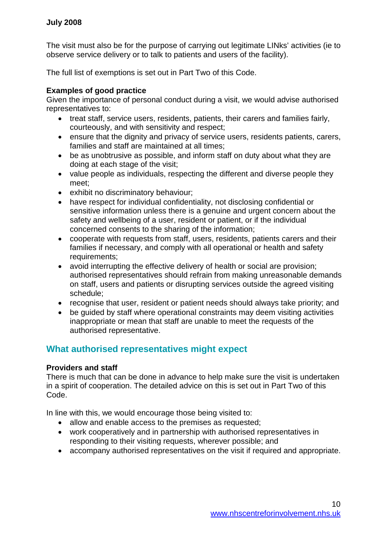The visit must also be for the purpose of carrying out legitimate LINks' activities (ie to observe service delivery or to talk to patients and users of the facility).

The full list of exemptions is set out in Part Two of this Code.

### **Examples of good practice**

Given the importance of personal conduct during a visit, we would advise authorised representatives to:

- treat staff, service users, residents, patients, their carers and families fairly, courteously, and with sensitivity and respect;
- ensure that the dignity and privacy of service users, residents patients, carers, families and staff are maintained at all times;
- be as unobtrusive as possible, and inform staff on duty about what they are doing at each stage of the visit;
- value people as individuals, respecting the different and diverse people they meet;
- exhibit no discriminatory behaviour;
- have respect for individual confidentiality, not disclosing confidential or sensitive information unless there is a genuine and urgent concern about the safety and wellbeing of a user, resident or patient, or if the individual concerned consents to the sharing of the information;
- cooperate with requests from staff, users, residents, patients carers and their families if necessary, and comply with all operational or health and safety requirements;
- avoid interrupting the effective delivery of health or social are provision; authorised representatives should refrain from making unreasonable demands on staff, users and patients or disrupting services outside the agreed visiting schedule;
- recognise that user, resident or patient needs should always take priority; and
- be quided by staff where operational constraints may deem visiting activities inappropriate or mean that staff are unable to meet the requests of the authorised representative.

## **What authorised representatives might expect**

### **Providers and staff**

There is much that can be done in advance to help make sure the visit is undertaken in a spirit of cooperation. The detailed advice on this is set out in Part Two of this Code.

In line with this, we would encourage those being visited to:

- allow and enable access to the premises as requested;
- work cooperatively and in partnership with authorised representatives in responding to their visiting requests, wherever possible; and
- accompany authorised representatives on the visit if required and appropriate.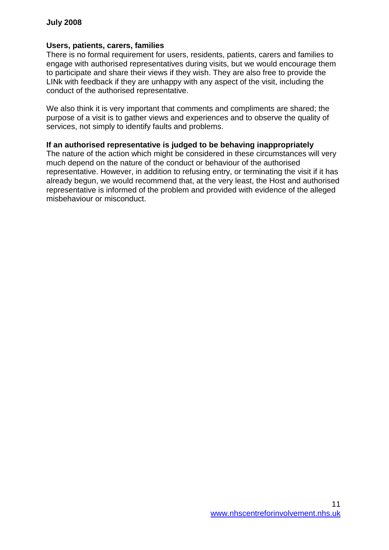### **Users, patients, carers, families**

There is no formal requirement for users, residents, patients, carers and families to engage with authorised representatives during visits, but we would encourage them to participate and share their views if they wish. They are also free to provide the LINk with feedback if they are unhappy with any aspect of the visit, including the conduct of the authorised representative.

We also think it is very important that comments and compliments are shared; the purpose of a visit is to gather views and experiences and to observe the quality of services, not simply to identify faults and problems.

### **If an authorised representative is judged to be behaving inappropriately**

The nature of the action which might be considered in these circumstances will very much depend on the nature of the conduct or behaviour of the authorised representative. However, in addition to refusing entry, or terminating the visit if it has already begun, we would recommend that, at the very least, the Host and authorised representative is informed of the problem and provided with evidence of the alleged misbehaviour or misconduct.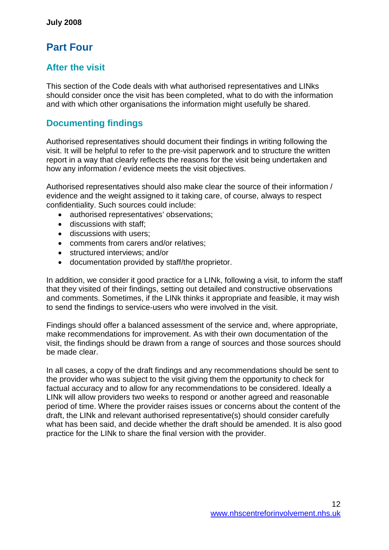# **Part Four**

# **After the visit**

This section of the Code deals with what authorised representatives and LINks should consider once the visit has been completed, what to do with the information and with which other organisations the information might usefully be shared.

# **Documenting findings**

Authorised representatives should document their findings in writing following the visit. It will be helpful to refer to the pre-visit paperwork and to structure the written report in a way that clearly reflects the reasons for the visit being undertaken and how any information / evidence meets the visit objectives.

Authorised representatives should also make clear the source of their information / evidence and the weight assigned to it taking care, of course, always to respect confidentiality. Such sources could include:

- authorised representatives' observations;
- discussions with staff:
- discussions with users;
- comments from carers and/or relatives;
- structured interviews; and/or
- documentation provided by staff/the proprietor.

In addition, we consider it good practice for a LINk, following a visit, to inform the staff that they visited of their findings, setting out detailed and constructive observations and comments. Sometimes, if the LINk thinks it appropriate and feasible, it may wish to send the findings to service-users who were involved in the visit.

Findings should offer a balanced assessment of the service and, where appropriate, make recommendations for improvement. As with their own documentation of the visit, the findings should be drawn from a range of sources and those sources should be made clear.

In all cases, a copy of the draft findings and any recommendations should be sent to the provider who was subject to the visit giving them the opportunity to check for factual accuracy and to allow for any recommendations to be considered. Ideally a LINk will allow providers two weeks to respond or another agreed and reasonable period of time. Where the provider raises issues or concerns about the content of the draft, the LINk and relevant authorised representative(s) should consider carefully what has been said, and decide whether the draft should be amended. It is also good practice for the LINk to share the final version with the provider.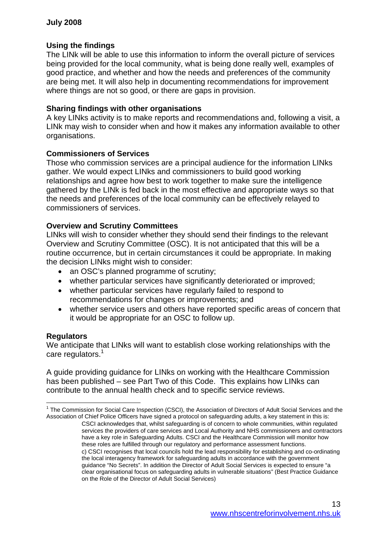### **Using the findings**

The LINk will be able to use this information to inform the overall picture of services being provided for the local community, what is being done really well, examples of good practice, and whether and how the needs and preferences of the community are being met. It will also help in documenting recommendations for improvement where things are not so good, or there are gaps in provision.

#### **Sharing findings with other organisations**

A key LINks activity is to make reports and recommendations and, following a visit, a LINk may wish to consider when and how it makes any information available to other organisations.

### **Commissioners of Services**

Those who commission services are a principal audience for the information LINks gather. We would expect LINks and commissioners to build good working relationships and agree how best to work together to make sure the intelligence gathered by the LINk is fed back in the most effective and appropriate ways so that the needs and preferences of the local community can be effectively relayed to commissioners of services.

### **Overview and Scrutiny Committees**

LINks will wish to consider whether they should send their findings to the relevant Overview and Scrutiny Committee (OSC). It is not anticipated that this will be a routine occurrence, but in certain circumstances it could be appropriate. In making the decision LINks might wish to consider:

- an OSC's planned programme of scrutiny;
- whether particular services have significantly deteriorated or improved;
- whether particular services have regularly failed to respond to recommendations for changes or improvements; and
- whether service users and others have reported specific areas of concern that it would be appropriate for an OSC to follow up.

#### **Regulators**

We anticipate that LINks will want to establish close working relationships with the care regulators.<sup>1</sup>

A guide providing guidance for LINks on working with the Healthcare Commission has been published – see Part Two of this Code. This explains how LINks can contribute to the annual health check and to specific service reviews.

<sup>&</sup>lt;sup>1</sup> The Commission for Social Care Inspection (CSCI), the Association of Directors of Adult Social Services and the Association of Chief Police Officers have signed a protocol on safeguarding adults, a key statement in this is:

CSCI acknowledges that, whilst safeguarding is of concern to whole communities, within regulated services the providers of care services and Local Authority and NHS commissioners and contractors have a key role in Safeguarding Adults. CSCI and the Healthcare Commission will monitor how these roles are fulfilled through our regulatory and performance assessment functions. c) CSCI recognises that local councils hold the lead responsibility for establishing and co-ordinating the local interagency framework for safeguarding adults in accordance with the government guidance "No Secrets". In addition the Director of Adult Social Services is expected to ensure "a clear organisational focus on safeguarding adults in vulnerable situations" (Best Practice Guidance on the Role of the Director of Adult Social Services)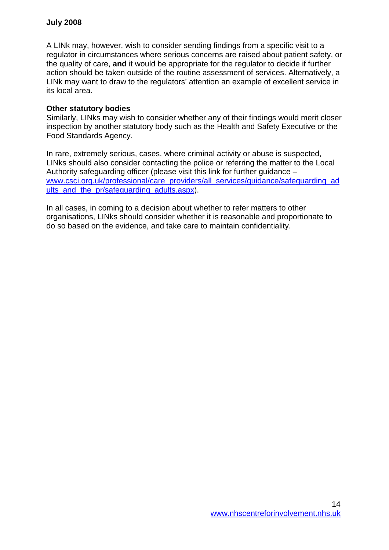A LINk may, however, wish to consider sending findings from a specific visit to a regulator in circumstances where serious concerns are raised about patient safety, or the quality of care, **and** it would be appropriate for the regulator to decide if further action should be taken outside of the routine assessment of services. Alternatively, a LINk may want to draw to the regulators' attention an example of excellent service in its local area.

#### **Other statutory bodies**

Similarly, LINks may wish to consider whether any of their findings would merit closer inspection by another statutory body such as the Health and Safety Executive or the Food Standards Agency.

In rare, extremely serious, cases, where criminal activity or abuse is suspected, LINks should also consider contacting the police or referring the matter to the Local Authority safeguarding officer (please visit this link for further guidance – www.csci.org.uk/professional/care\_providers/all\_services/guidance/safeguarding\_ad ults and the pr/safeguarding adults.aspx).

In all cases, in coming to a decision about whether to refer matters to other organisations, LINks should consider whether it is reasonable and proportionate to do so based on the evidence, and take care to maintain confidentiality.